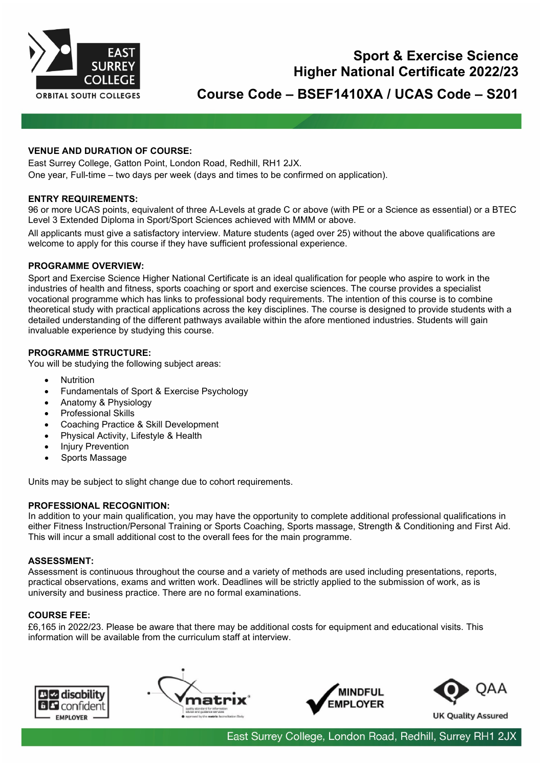

# **Sport & Exercise Science Higher National Certificate 2022/23**

**Course Code – BSEF1410XA / UCAS Code – S201**

# **VENUE AND DURATION OF COURSE:**

East Surrey College, Gatton Point, London Road, Redhill, RH1 2JX. One year, Full-time – two days per week (days and times to be confirmed on application).

# **ENTRY REQUIREMENTS:**

96 or more UCAS points, equivalent of three A-Levels at grade C or above (with PE or a Science as essential) or a BTEC Level 3 Extended Diploma in Sport/Sport Sciences achieved with MMM or above.

All applicants must give a satisfactory interview. Mature students (aged over 25) without the above qualifications are welcome to apply for this course if they have sufficient professional experience.

#### **PROGRAMME OVERVIEW:**

Sport and Exercise Science Higher National Certificate is an ideal qualification for people who aspire to work in the industries of health and fitness, sports coaching or sport and exercise sciences. The course provides a specialist vocational programme which has links to professional body requirements. The intention of this course is to combine theoretical study with practical applications across the key disciplines. The course is designed to provide students with a detailed understanding of the different pathways available within the afore mentioned industries. Students will gain invaluable experience by studying this course.

#### **PROGRAMME STRUCTURE:**

You will be studying the following subject areas:

- **Nutrition**
- Fundamentals of Sport & Exercise Psychology
- Anatomy & Physiology
- Professional Skills
- Coaching Practice & Skill Development
- Physical Activity, Lifestyle & Health
- Injury Prevention
- Sports Massage

Units may be subject to slight change due to cohort requirements.

# **PROFESSIONAL RECOGNITION:**

In addition to your main qualification, you may have the opportunity to complete additional professional qualifications in either Fitness Instruction/Personal Training or Sports Coaching, Sports massage, Strength & Conditioning and First Aid. This will incur a small additional cost to the overall fees for the main programme.

# **ASSESSMENT:**

Assessment is continuous throughout the course and a variety of methods are used including presentations, reports, practical observations, exams and written work. Deadlines will be strictly applied to the submission of work, as is university and business practice. There are no formal examinations.

#### **COURSE FEE:**

£6,165 in 2022/23. Please be aware that there may be additional costs for equipment and educational visits. This information will be available from the curriculum staff at interview.